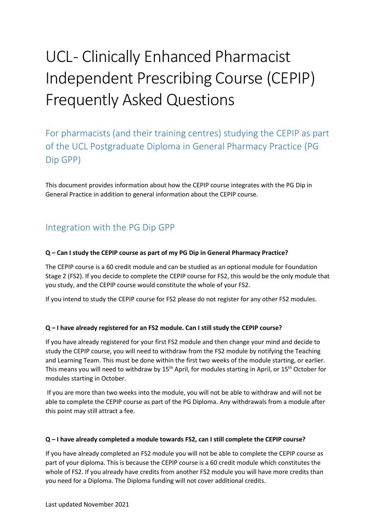# UCL- Clinically Enhanced Pharmacist Independent Prescribing Course (CEPIP) Frequently Asked Questions

For pharmacists (and their training centres) studying the CEPIP as part of the UCL Postgraduate Diploma in General Pharmacy Practice (PG Dip GPP)

This document provides information about how the CEPIP course integrates with the PG Dip in General Practice in addition to general information about the CEPIP course.

# Integration with the PG Dip GPP

#### **Q – Can I study the CEPIP course as part of my PG Dip in General Pharmacy Practice?**

The CEPIP course is a 60 credit module and can be studied as an optional module for Foundation Stage 2 (FS2). If you decide to complete the CEPIP course for FS2, this would be the only module that you study, and the CEPIP course would constitute the whole of your FS2.

If you intend to study the CEPIP course for FS2 please do not register for any other FS2 modules.

#### **Q – I have already registered for an FS2 module. Can I still study the CEPIP course?**

If you have already registered for your first FS2 module and then change your mind and decide to study the CEPIP course, you will need to withdraw from the FS2 module by notifying the Teaching and Learning Team. This must be done within the first two weeks of the module starting, or earlier. This means you will need to withdraw by 15<sup>th</sup> April, for modules starting in April, or 15<sup>th</sup> October for modules starting in October.

If you are more than two weeks into the module, you will not be able to withdraw and will not be able to complete the CEPIP course as part of the PG Diploma. Any withdrawals from a module after this point may still attract a fee.

#### **Q – I have already completed a module towards FS2, can I still complete the CEPIP course?**

If you have already completed an FS2 module you will not be able to complete the CEPIP course as part of your diploma. This is because the CEPIP course is a 60 credit module which constitutes the whole of FS2. If you already have credits from another FS2 module you will have more credits than you need for a Diploma. The Diploma funding will not cover additional credits.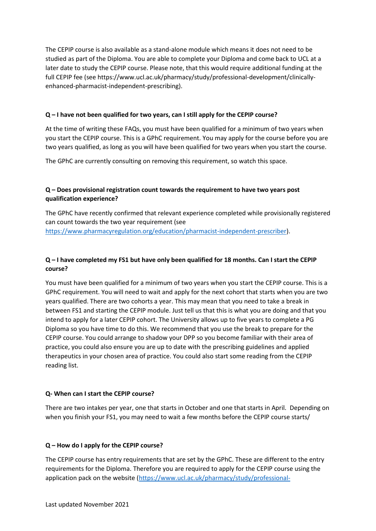The CEPIP course is also available as a stand-alone module which means it does not need to be studied as part of the Diploma. You are able to complete your Diploma and come back to UCL at a later date to study the CEPIP course. Please note, that this would require additional funding at the full CEPIP fee (see https://www.ucl.ac.uk/pharmacy/study/professional-development/clinicallyenhanced-pharmacist-independent-prescribing).

#### **Q – I have not been qualified for two years, can I still apply for the CEPIP course?**

At the time of writing these FAQs, you must have been qualified for a minimum of two years when you start the CEPIP course. This is a GPhC requirement. You may apply for the course before you are two years qualified, as long as you will have been qualified for two years when you start the course.

The GPhC are currently consulting on removing this requirement, so watch this space.

#### **Q – Does provisional registration count towards the requirement to have two years post qualification experience?**

The GPhC have recently confirmed that relevant experience completed while provisionally registered can count towards the two year requirement (see [https://www.pharmacyregulation.org/education/pharmacist-independent-prescriber\)](https://www.pharmacyregulation.org/education/pharmacist-independent-prescriber).

#### **Q – I have completed my FS1 but have only been qualified for 18 months. Can I start the CEPIP course?**

You must have been qualified for a minimum of two years when you start the CEPIP course. This is a GPhC requirement. You will need to wait and apply for the next cohort that starts when you are two years qualified. There are two cohorts a year. This may mean that you need to take a break in between FS1 and starting the CEPIP module. Just tell us that this is what you are doing and that you intend to apply for a later CEPIP cohort. The University allows up to five years to complete a PG Diploma so you have time to do this. We recommend that you use the break to prepare for the CEPIP course. You could arrange to shadow your DPP so you become familiar with their area of practice, you could also ensure you are up to date with the prescribing guidelines and applied therapeutics in your chosen area of practice. You could also start some reading from the CEPIP reading list.

#### **Q- When can I start the CEPIP course?**

There are two intakes per year, one that starts in October and one that starts in April. Depending on when you finish your FS1, you may need to wait a few months before the CEPIP course starts/

#### **Q – How do I apply for the CEPIP course?**

The CEPIP course has entry requirements that are set by the GPhC. These are different to the entry requirements for the Diploma. Therefore you are required to apply for the CEPIP course using the application pack on the website [\(https://www.ucl.ac.uk/pharmacy/study/professional-](https://www.ucl.ac.uk/pharmacy/study/professional-development/clinically-enhanced-pharmacist-independent-prescribing)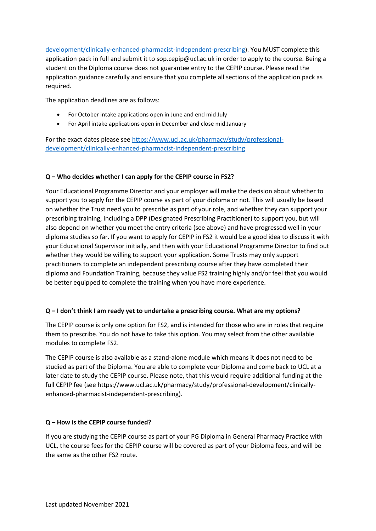[development/clinically-enhanced-pharmacist-independent-prescribing\)](https://www.ucl.ac.uk/pharmacy/study/professional-development/clinically-enhanced-pharmacist-independent-prescribing). You MUST complete this application pack in full and submit it to sop.cepip@ucl.ac.uk in order to apply to the course. Being a student on the Diploma course does not guarantee entry to the CEPIP course. Please read the application guidance carefully and ensure that you complete all sections of the application pack as required.

The application deadlines are as follows:

- For October intake applications open in June and end mid July
- For April intake applications open in December and close mid January

For the exact dates please see [https://www.ucl.ac.uk/pharmacy/study/professional](https://www.ucl.ac.uk/pharmacy/study/professional-development/clinically-enhanced-pharmacist-independent-prescribing)[development/clinically-enhanced-pharmacist-independent-prescribing](https://www.ucl.ac.uk/pharmacy/study/professional-development/clinically-enhanced-pharmacist-independent-prescribing)

#### **Q – Who decides whether I can apply for the CEPIP course in FS2?**

Your Educational Programme Director and your employer will make the decision about whether to support you to apply for the CEPIP course as part of your diploma or not. This will usually be based on whether the Trust need you to prescribe as part of your role, and whether they can support your prescribing training, including a DPP (Designated Prescribing Practitioner) to support you, but will also depend on whether you meet the entry criteria (see above) and have progressed well in your diploma studies so far. If you want to apply for CEPIP in FS2 it would be a good idea to discuss it with your Educational Supervisor initially, and then with your Educational Programme Director to find out whether they would be willing to support your application. Some Trusts may only support practitioners to complete an independent prescribing course after they have completed their diploma and Foundation Training, because they value FS2 training highly and/or feel that you would be better equipped to complete the training when you have more experience.

#### **Q – I don't think I am ready yet to undertake a prescribing course. What are my options?**

The CEPIP course is only one option for FS2, and is intended for those who are in roles that require them to prescribe. You do not have to take this option. You may select from the other available modules to complete FS2.

The CEPIP course is also available as a stand-alone module which means it does not need to be studied as part of the Diploma. You are able to complete your Diploma and come back to UCL at a later date to study the CEPIP course. Please note, that this would require additional funding at the full CEPIP fee (see https://www.ucl.ac.uk/pharmacy/study/professional-development/clinicallyenhanced-pharmacist-independent-prescribing).

#### **Q – How is the CEPIP course funded?**

If you are studying the CEPIP course as part of your PG Diploma in General Pharmacy Practice with UCL, the course fees for the CEPIP course will be covered as part of your Diploma fees, and will be the same as the other FS2 route.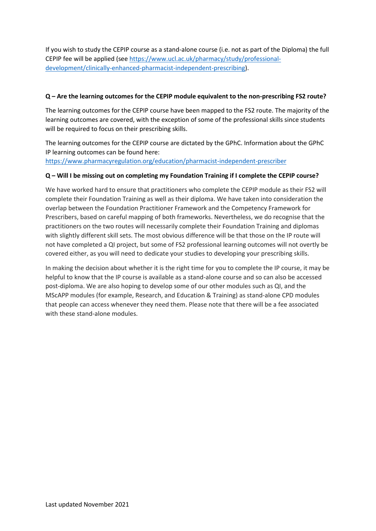If you wish to study the CEPIP course as a stand-alone course (i.e. not as part of the Diploma) the full CEPIP fee will be applied (see [https://www.ucl.ac.uk/pharmacy/study/professional](https://www.ucl.ac.uk/pharmacy/study/professional-development/clinically-enhanced-pharmacist-independent-prescribing)[development/clinically-enhanced-pharmacist-independent-prescribing\)](https://www.ucl.ac.uk/pharmacy/study/professional-development/clinically-enhanced-pharmacist-independent-prescribing).

#### **Q – Are the learning outcomes for the CEPIP module equivalent to the non-prescribing FS2 route?**

The learning outcomes for the CEPIP course have been mapped to the FS2 route. The majority of the learning outcomes are covered, with the exception of some of the professional skills since students will be required to focus on their prescribing skills.

The learning outcomes for the CEPIP course are dictated by the GPhC. Information about the GPhC IP learning outcomes can be found here:

<https://www.pharmacyregulation.org/education/pharmacist-independent-prescriber>

#### **Q – Will I be missing out on completing my Foundation Training if I complete the CEPIP course?**

We have worked hard to ensure that practitioners who complete the CEPIP module as their FS2 will complete their Foundation Training as well as their diploma. We have taken into consideration the overlap between the Foundation Practitioner Framework and the Competency Framework for Prescribers, based on careful mapping of both frameworks. Nevertheless, we do recognise that the practitioners on the two routes will necessarily complete their Foundation Training and diplomas with slightly different skill sets. The most obvious difference will be that those on the IP route will not have completed a QI project, but some of FS2 professional learning outcomes will not overtly be covered either, as you will need to dedicate your studies to developing your prescribing skills.

In making the decision about whether it is the right time for you to complete the IP course, it may be helpful to know that the IP course is available as a stand-alone course and so can also be accessed post-diploma. We are also hoping to develop some of our other modules such as QI, and the MScAPP modules (for example, Research, and Education & Training) as stand-alone CPD modules that people can access whenever they need them. Please note that there will be a fee associated with these stand-alone modules.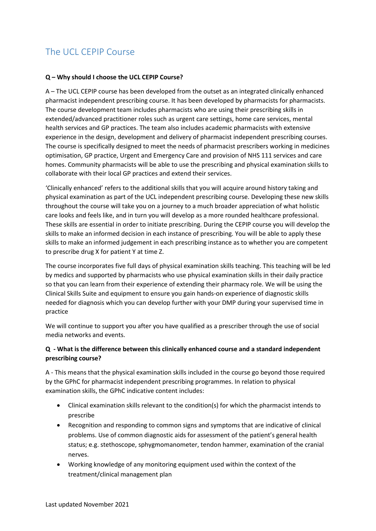# The UCL CEPIP Course

#### **Q – Why should I choose the UCL CEPIP Course?**

A – The UCL CEPIP course has been developed from the outset as an integrated clinically enhanced pharmacist independent prescribing course. It has been developed by pharmacists for pharmacists. The course development team includes pharmacists who are using their prescribing skills in extended/advanced practitioner roles such as urgent care settings, home care services, mental health services and GP practices. The team also includes academic pharmacists with extensive experience in the design, development and delivery of pharmacist independent prescribing courses. The course is specifically designed to meet the needs of pharmacist prescribers working in medicines optimisation, GP practice, Urgent and Emergency Care and provision of NHS 111 services and care homes. Community pharmacists will be able to use the prescribing and physical examination skills to collaborate with their local GP practices and extend their services.

'Clinically enhanced' refers to the additional skills that you will acquire around history taking and physical examination as part of the UCL independent prescribing course. Developing these new skills throughout the course will take you on a journey to a much broader appreciation of what holistic care looks and feels like, and in turn you will develop as a more rounded healthcare professional. These skills are essential in order to initiate prescribing. During the CEPIP course you will develop the skills to make an informed decision in each instance of prescribing. You will be able to apply these skills to make an informed judgement in each prescribing instance as to whether you are competent to prescribe drug X for patient Y at time Z.

The course incorporates five full days of physical examination skills teaching. This teaching will be led by medics and supported by pharmacists who use physical examination skills in their daily practice so that you can learn from their experience of extending their pharmacy role. We will be using the Clinical Skills Suite and equipment to ensure you gain hands-on experience of diagnostic skills needed for diagnosis which you can develop further with your DMP during your supervised time in practice

We will continue to support you after you have qualified as a prescriber through the use of social media networks and events.

#### **Q - What is the difference between this clinically enhanced course and a standard independent prescribing course?**

A - This means that the physical examination skills included in the course go beyond those required by the GPhC for pharmacist independent prescribing programmes. In relation to physical examination skills, the GPhC indicative content includes:

- Clinical examination skills relevant to the condition(s) for which the pharmacist intends to prescribe
- Recognition and responding to common signs and symptoms that are indicative of clinical problems. Use of common diagnostic aids for assessment of the patient's general health status; e.g. stethoscope, sphygmomanometer, tendon hammer, examination of the cranial nerves.
- Working knowledge of any monitoring equipment used within the context of the treatment/clinical management plan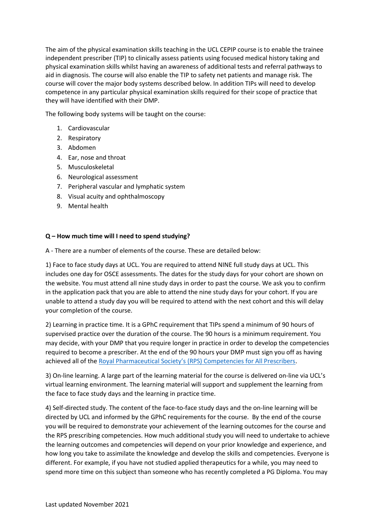The aim of the physical examination skills teaching in the UCL CEPIP course is to enable the trainee independent prescriber (TIP) to clinically assess patients using focused medical history taking and physical examination skills whilst having an awareness of additional tests and referral pathways to aid in diagnosis. The course will also enable the TIP to safety net patients and manage risk. The course will cover the major body systems described below. In addition TIPs will need to develop competence in any particular physical examination skills required for their scope of practice that they will have identified with their DMP.

The following body systems will be taught on the course:

- 1. Cardiovascular
- 2. Respiratory
- 3. Abdomen
- 4. Ear, nose and throat
- 5. Musculoskeletal
- 6. Neurological assessment
- 7. Peripheral vascular and lymphatic system
- 8. Visual acuity and ophthalmoscopy
- 9. Mental health

#### **Q – How much time will I need to spend studying?**

A - There are a number of elements of the course. These are detailed below:

1) Face to face study days at UCL. You are required to attend NINE full study days at UCL. This includes one day for OSCE assessments. The dates for the study days for your cohort are shown on the website. You must attend all nine study days in order to past the course. We ask you to confirm in the application pack that you are able to attend the nine study days for your cohort. If you are unable to attend a study day you will be required to attend with the next cohort and this will delay your completion of the course.

2) Learning in practice time. It is a GPhC requirement that TIPs spend a minimum of 90 hours of supervised practice over the duration of the course. The 90 hours is a minimum requirement. You may decide, with your DMP that you require longer in practice in order to develop the competencies required to become a prescriber. At the end of the 90 hours your DMP must sign you off as having achieved all of the Royal Pharmaceutical Society's (RPS) [Competencies for All Prescribers.](https://www.rpharms.com/resources/frameworks/prescribers-competency-framework)

3) On-line learning. A large part of the learning material for the course is delivered on-line via UCL's virtual learning environment. The learning material will support and supplement the learning from the face to face study days and the learning in practice time.

4) Self-directed study. The content of the face-to-face study days and the on-line learning will be directed by UCL and informed by the GPhC requirements for the course. By the end of the course you will be required to demonstrate your achievement of the learning outcomes for the course and the RPS prescribing competencies. How much additional study you will need to undertake to achieve the learning outcomes and competencies will depend on your prior knowledge and experience, and how long you take to assimilate the knowledge and develop the skills and competencies. Everyone is different. For example, if you have not studied applied therapeutics for a while, you may need to spend more time on this subject than someone who has recently completed a PG Diploma. You may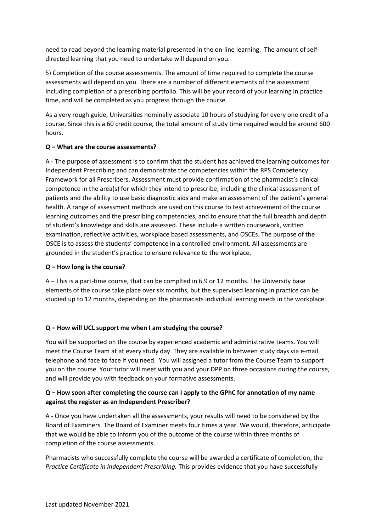need to read beyond the learning material presented in the on-line learning. The amount of selfdirected learning that you need to undertake will depend on you.

5) Completion of the course assessments. The amount of time required to complete the course assessments will depend on you. There are a number of different elements of the assessment including completion of a prescribing portfolio. This will be your record of your learning in practice time, and will be completed as you progress through the course.

As a very rough guide, Universities nominally associate 10 hours of studying for every one credit of a course. Since this is a 60 credit course, the total amount of study time required would be around 600 hours.

#### **Q – What are the course assessments?**

A - The purpose of assessment is to confirm that the student has achieved the learning outcomes for Independent Prescribing and can demonstrate the competencies within the RPS Competency Framework for all Prescribers. Assessment must provide confirmation of the pharmacist's clinical competence in the area(s) for which they intend to prescribe; including the clinical assessment of patients and the ability to use basic diagnostic aids and make an assessment of the patient's general health. A range of assessment methods are used on this course to test achievement of the course learning outcomes and the prescribing competencies, and to ensure that the full breadth and depth of student's knowledge and skills are assessed. These include a written coursework, written examination, reflective activities, workplace based assessments, and OSCEs. The purpose of the OSCE is to assess the students' competence in a controlled environment. All assessments are grounded in the student's practice to ensure relevance to the workplace.

#### **Q – How long is the course?**

A – This is a part-time course, that can be complted in 6,9 or 12 months. The University base elements of the course take place over six months, but the supervised learning in practice can be studied up to 12 months, depending on the pharmacists individual learning needs in the workplace.

#### **Q – How will UCL support me when I am studying the course?**

You will be supported on the course by experienced academic and administrative teams. You will meet the Course Team at at every study day. They are available in between study days via e-mail, telephone and face to face if you need. You will assigned a tutor from the Course Team to support you on the course. Your tutor will meet with you and your DPP on three occasions during the course, and will provide you with feedback on your formative assessments.

#### **Q – How soon after completing the course can I apply to the GPhC for annotation of my name against the register as an Independent Prescriber?**

A - Once you have undertaken all the assessments, your results will need to be considered by the Board of Examiners. The Board of Examiner meets four times a year. We would, therefore, anticipate that we would be able to inform you of the outcome of the course within three months of completion of the course assessments.

Pharmacists who successfully complete the course will be awarded a certificate of completion, the *Practice Certificate in Independent Prescribing.* This provides evidence that you have successfully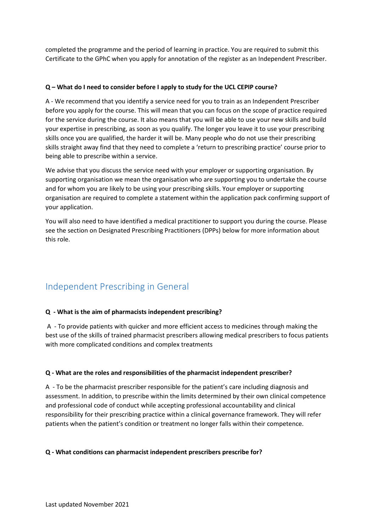completed the programme and the period of learning in practice. You are required to submit this Certificate to the GPhC when you apply for annotation of the register as an Independent Prescriber.

#### **Q – What do I need to consider before I apply to study for the UCL CEPIP course?**

A - We recommend that you identify a service need for you to train as an Independent Prescriber before you apply for the course. This will mean that you can focus on the scope of practice required for the service during the course. It also means that you will be able to use your new skills and build your expertise in prescribing, as soon as you qualify. The longer you leave it to use your prescribing skills once you are qualified, the harder it will be. Many people who do not use their prescribing skills straight away find that they need to complete a 'return to prescribing practice' course prior to being able to prescribe within a service.

We advise that you discuss the service need with your employer or supporting organisation. By supporting organisation we mean the organisation who are supporting you to undertake the course and for whom you are likely to be using your prescribing skills. Your employer or supporting organisation are required to complete a statement within the application pack confirming support of your application.

You will also need to have identified a medical practitioner to support you during the course. Please see the section on Designated Prescribing Practitioners (DPPs) below for more information about this role.

# Independent Prescribing in General

#### **Q - What is the aim of pharmacists independent prescribing?**

A - To provide patients with quicker and more efficient access to medicines through making the best use of the skills of trained pharmacist prescribers allowing medical prescribers to focus patients with more complicated conditions and complex treatments

#### **Q - What are the roles and responsibilities of the pharmacist independent prescriber?**

A - To be the pharmacist prescriber responsible for the patient's care including diagnosis and assessment. In addition, to prescribe within the limits determined by their own clinical competence and professional code of conduct while accepting professional accountability and clinical responsibility for their prescribing practice within a clinical governance framework. They will refer patients when the patient's condition or treatment no longer falls within their competence.

#### **Q - What conditions can pharmacist independent prescribers prescribe for?**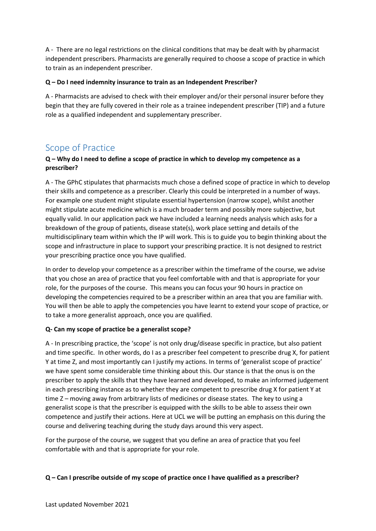A - There are no legal restrictions on the clinical conditions that may be dealt with by pharmacist independent prescribers. Pharmacists are generally required to choose a scope of practice in which to train as an independent prescriber.

#### **Q – Do I need indemnity insurance to train as an Independent Prescriber?**

A - Pharmacists are advised to check with their employer and/or their personal insurer before they begin that they are fully covered in their role as a trainee independent prescriber (TIP) and a future role as a qualified independent and supplementary prescriber.

### Scope of Practice

#### **Q – Why do I need to define a scope of practice in which to develop my competence as a prescriber?**

A - The GPhC stipulates that pharmacists much chose a defined scope of practice in which to develop their skills and competence as a prescriber. Clearly this could be interpreted in a number of ways. For example one student might stipulate essential hypertension (narrow scope), whilst another might stipulate acute medicine which is a much broader term and possibly more subjective, but equally valid. In our application pack we have included a learning needs analysis which asks for a breakdown of the group of patients, disease state(s), work place setting and details of the multidisciplinary team within which the IP will work. This is to guide you to begin thinking about the scope and infrastructure in place to support your prescribing practice. It is not designed to restrict your prescribing practice once you have qualified.

In order to develop your competence as a prescriber within the timeframe of the course, we advise that you chose an area of practice that you feel comfortable with and that is appropriate for your role, for the purposes of the course. This means you can focus your 90 hours in practice on developing the competencies required to be a prescriber within an area that you are familiar with. You will then be able to apply the competencies you have learnt to extend your scope of practice, or to take a more generalist approach, once you are qualified.

#### **Q- Can my scope of practice be a generalist scope?**

A - In prescribing practice, the 'scope' is not only drug/disease specific in practice, but also patient and time specific. In other words, do I as a prescriber feel competent to prescribe drug X, for patient Y at time Z, and most importantly can I justify my actions. In terms of 'generalist scope of practice' we have spent some considerable time thinking about this. Our stance is that the onus is on the prescriber to apply the skills that they have learned and developed, to make an informed judgement in each prescribing instance as to whether they are competent to prescribe drug X for patient Y at time Z – moving away from arbitrary lists of medicines or disease states. The key to using a generalist scope is that the prescriber is equipped with the skills to be able to assess their own competence and justify their actions. Here at UCL we will be putting an emphasis on this during the course and delivering teaching during the study days around this very aspect.

For the purpose of the course, we suggest that you define an area of practice that you feel comfortable with and that is appropriate for your role.

#### **Q – Can I prescribe outside of my scope of practice once I have qualified as a prescriber?**